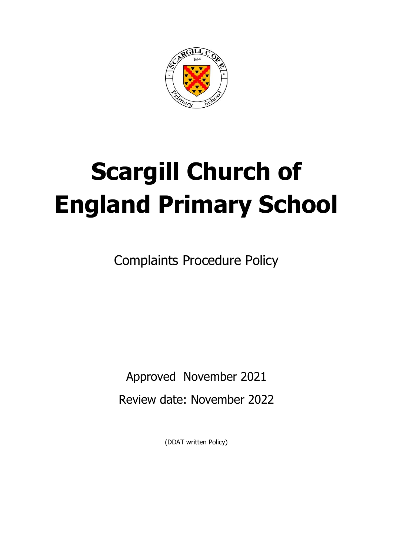

# **Scargill Church of England Primary School**

Complaints Procedure Policy

Approved November 2021 Review date: November 2022

(DDAT written Policy)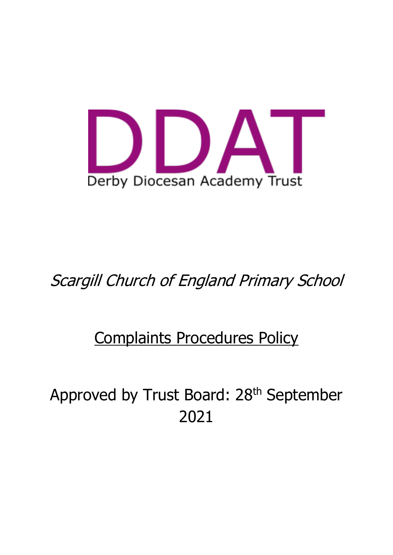

# Scargill Church of England Primary School

# Complaints Procedures Policy

Approved by Trust Board: 28<sup>th</sup> September 2021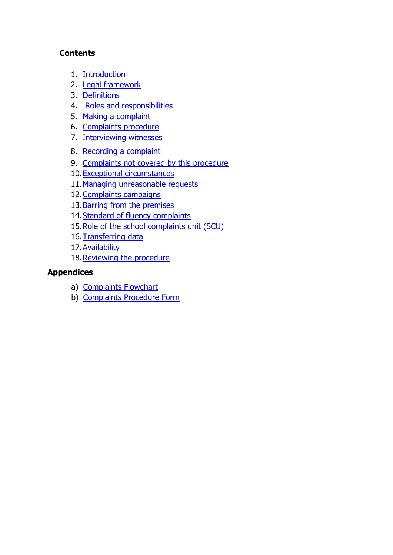#### **Contents**

- 1. Introduction
- 2. Legal framework
- 3. Definitions
- 4. [Roles and responsibilities](#page-5-0)
- 5. [Making a complaint](#page-8-0)
- 6. [Complaints procedure](#page-10-0)
- 7. [Interviewing witnesses](#page-10-1)
- 8. [Recording a complaint](#page-17-0)
- 9. [Complaints not covered by this procedure](#page-18-0)
- 10[.Exceptional circumstances](#page-20-0)
- 11[.Managing unreasonable requests](#page-21-0)
- 12. Complaints campaigns
- 13[.Barring from the premises](#page-23-1)
- 14[.Standard of fluency complaints](#page-24-0)
- 15[.Role of the school complaints unit \(SCU\)](#page-25-0)
- 16. Transferring data
- 17[.Availability](#page-25-2)
- 18. Reviewing the procedure

#### **Appendices**

- a) Complaints Flowchart
- b) [Complaints Procedure Form](#page-27-0)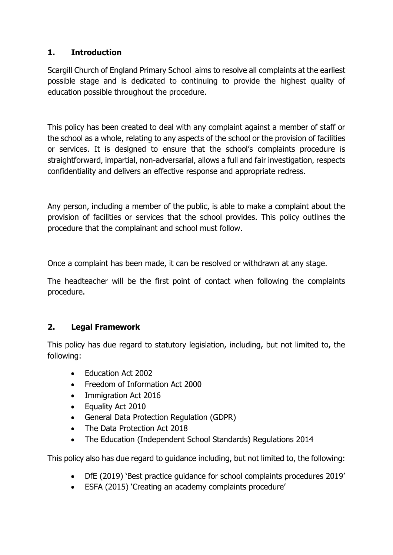# **1. Introduction**

Scargill Church of England Primary School aims to resolve all complaints at the earliest possible stage and is dedicated to continuing to provide the highest quality of education possible throughout the procedure.

This policy has been created to deal with any complaint against a member of staff or the school as a whole, relating to any aspects of the school or the provision of facilities or services. It is designed to ensure that the school's complaints procedure is straightforward, impartial, non-adversarial, allows a full and fair investigation, respects confidentiality and delivers an effective response and appropriate redress.

Any person, including a member of the public, is able to make a complaint about the provision of facilities or services that the school provides. This policy outlines the procedure that the complainant and school must follow.

Once a complaint has been made, it can be resolved or withdrawn at any stage.

The headteacher will be the first point of contact when following the complaints procedure.

#### **2. Legal Framework**

This policy has due regard to statutory legislation, including, but not limited to, the following:

- Fducation Act 2002
- Freedom of Information Act 2000
- Immigration Act 2016
- Equality Act 2010
- General Data Protection Regulation (GDPR)
- The Data Protection Act 2018
- The Education (Independent School Standards) Regulations 2014

This policy also has due regard to guidance including, but not limited to, the following:

- DfE (2019) 'Best practice guidance for school complaints procedures 2019'
- ESFA (2015) 'Creating an academy complaints procedure'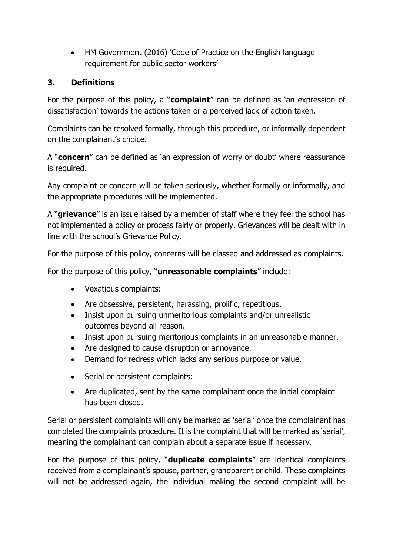• HM Government (2016) 'Code of Practice on the English language requirement for public sector workers'

#### **3. Definitions**

For the purpose of this policy, a "**complaint**" can be defined as 'an expression of dissatisfaction' towards the actions taken or a perceived lack of action taken.

Complaints can be resolved formally, through this procedure, or informally dependent on the complainant's choice.

A "**concern**" can be defined as 'an expression of worry or doubt' where reassurance is required.

Any complaint or concern will be taken seriously, whether formally or informally, and the appropriate procedures will be implemented.

A "**grievance**" is an issue raised by a member of staff where they feel the school has not implemented a policy or process fairly or properly. Grievances will be dealt with in line with the school's Grievance Policy.

For the purpose of this policy, concerns will be classed and addressed as complaints.

For the purpose of this policy, "**unreasonable complaints**" include:

- Vexatious complaints:
- Are obsessive, persistent, harassing, prolific, repetitious.
- Insist upon pursuing unmeritorious complaints and/or unrealistic outcomes beyond all reason.
- Insist upon pursuing meritorious complaints in an unreasonable manner.
- Are designed to cause disruption or annoyance.
- Demand for redress which lacks any serious purpose or value.
- Serial or persistent complaints:
- Are duplicated, sent by the same complainant once the initial complaint has been closed.

Serial or persistent complaints will only be marked as 'serial' once the complainant has completed the complaints procedure. It is the complaint that will be marked as 'serial', meaning the complainant can complain about a separate issue if necessary.

For the purpose of this policy, "**duplicate complaints**" are identical complaints received from a complainant's spouse, partner, grandparent or child. These complaints will not be addressed again, the individual making the second complaint will be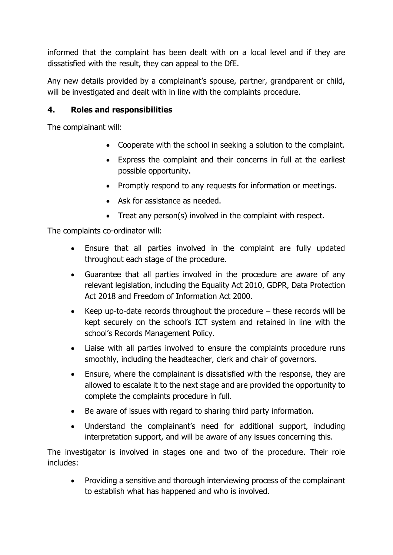informed that the complaint has been dealt with on a local level and if they are dissatisfied with the result, they can appeal to the DfE.

Any new details provided by a complainant's spouse, partner, grandparent or child, will be investigated and dealt with in line with the complaints procedure.

#### <span id="page-5-0"></span>**4. Roles and responsibilities**

The complainant will:

- Cooperate with the school in seeking a solution to the complaint.
- Express the complaint and their concerns in full at the earliest possible opportunity.
- Promptly respond to any requests for information or meetings.
- Ask for assistance as needed.
- Treat any person(s) involved in the complaint with respect.

The complaints co-ordinator will:

- Ensure that all parties involved in the complaint are fully updated throughout each stage of the procedure.
- Guarantee that all parties involved in the procedure are aware of any relevant legislation, including the Equality Act 2010, GDPR, Data Protection Act 2018 and Freedom of Information Act 2000.
- Keep up-to-date records throughout the procedure these records will be kept securely on the school's ICT system and retained in line with the school's Records Management Policy.
- Liaise with all parties involved to ensure the complaints procedure runs smoothly, including the headteacher, clerk and chair of governors.
- Ensure, where the complainant is dissatisfied with the response, they are allowed to escalate it to the next stage and are provided the opportunity to complete the complaints procedure in full.
- Be aware of issues with regard to sharing third party information.
- Understand the complainant's need for additional support, including interpretation support, and will be aware of any issues concerning this.

The investigator is involved in stages one and two of the procedure. Their role includes:

• Providing a sensitive and thorough interviewing process of the complainant to establish what has happened and who is involved.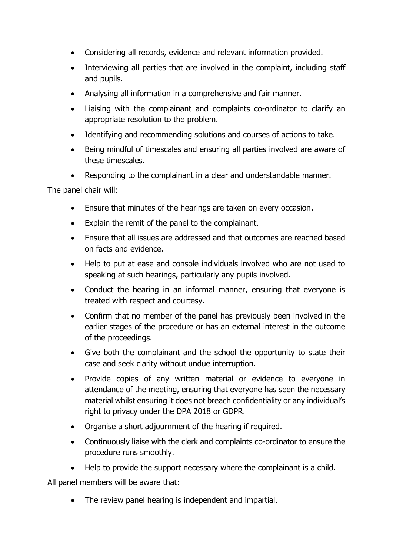- Considering all records, evidence and relevant information provided.
- Interviewing all parties that are involved in the complaint, including staff and pupils.
- Analysing all information in a comprehensive and fair manner.
- Liaising with the complainant and complaints co-ordinator to clarify an appropriate resolution to the problem.
- Identifying and recommending solutions and courses of actions to take.
- Being mindful of timescales and ensuring all parties involved are aware of these timescales.
- Responding to the complainant in a clear and understandable manner.

The panel chair will:

- Ensure that minutes of the hearings are taken on every occasion.
- Explain the remit of the panel to the complainant.
- Ensure that all issues are addressed and that outcomes are reached based on facts and evidence.
- Help to put at ease and console individuals involved who are not used to speaking at such hearings, particularly any pupils involved.
- Conduct the hearing in an informal manner, ensuring that everyone is treated with respect and courtesy.
- Confirm that no member of the panel has previously been involved in the earlier stages of the procedure or has an external interest in the outcome of the proceedings.
- Give both the complainant and the school the opportunity to state their case and seek clarity without undue interruption.
- Provide copies of any written material or evidence to everyone in attendance of the meeting, ensuring that everyone has seen the necessary material whilst ensuring it does not breach confidentiality or any individual's right to privacy under the DPA 2018 or GDPR.
- Organise a short adjournment of the hearing if required.
- Continuously liaise with the clerk and complaints co-ordinator to ensure the procedure runs smoothly.
- Help to provide the support necessary where the complainant is a child.

All panel members will be aware that:

The review panel hearing is independent and impartial.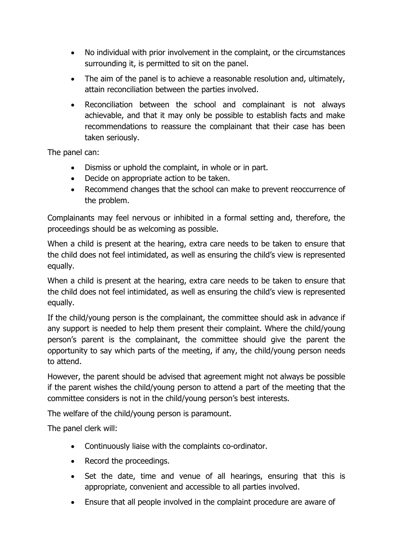- No individual with prior involvement in the complaint, or the circumstances surrounding it, is permitted to sit on the panel.
- The aim of the panel is to achieve a reasonable resolution and, ultimately, attain reconciliation between the parties involved.
- Reconciliation between the school and complainant is not always achievable, and that it may only be possible to establish facts and make recommendations to reassure the complainant that their case has been taken seriously.

The panel can:

- Dismiss or uphold the complaint, in whole or in part.
- Decide on appropriate action to be taken.
- Recommend changes that the school can make to prevent reoccurrence of the problem.

Complainants may feel nervous or inhibited in a formal setting and, therefore, the proceedings should be as welcoming as possible.

When a child is present at the hearing, extra care needs to be taken to ensure that the child does not feel intimidated, as well as ensuring the child's view is represented equally.

When a child is present at the hearing, extra care needs to be taken to ensure that the child does not feel intimidated, as well as ensuring the child's view is represented equally.

If the child/young person is the complainant, the committee should ask in advance if any support is needed to help them present their complaint. Where the child/young person's parent is the complainant, the committee should give the parent the opportunity to say which parts of the meeting, if any, the child/young person needs to attend.

However, the parent should be advised that agreement might not always be possible if the parent wishes the child/young person to attend a part of the meeting that the committee considers is not in the child/young person's best interests.

The welfare of the child/young person is paramount.

The panel clerk will:

- Continuously liaise with the complaints co-ordinator.
- Record the proceedings.
- Set the date, time and venue of all hearings, ensuring that this is appropriate, convenient and accessible to all parties involved.
- Ensure that all people involved in the complaint procedure are aware of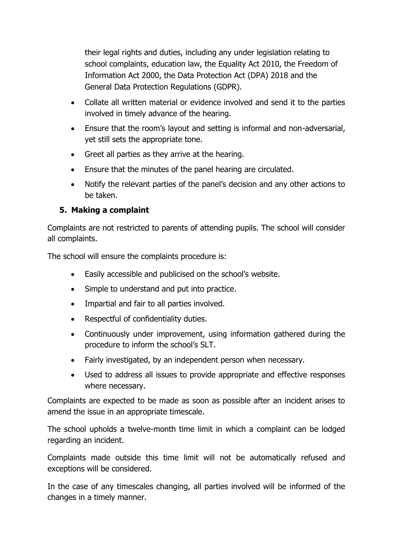their legal rights and duties, including any under legislation relating to school complaints, education law, the Equality Act 2010, the Freedom of Information Act 2000, the Data Protection Act (DPA) 2018 and the General Data Protection Regulations (GDPR).

- Collate all written material or evidence involved and send it to the parties involved in timely advance of the hearing.
- Ensure that the room's layout and setting is informal and non-adversarial, yet still sets the appropriate tone.
- Greet all parties as they arrive at the hearing.
- Ensure that the minutes of the panel hearing are circulated.
- Notify the relevant parties of the panel's decision and any other actions to be taken.

# <span id="page-8-0"></span>**5. Making a complaint**

Complaints are not restricted to parents of attending pupils. The school will consider all complaints.

The school will ensure the complaints procedure is:

- Easily accessible and publicised on the school's website.
- Simple to understand and put into practice.
- Impartial and fair to all parties involved.
- Respectful of confidentiality duties.
- Continuously under improvement, using information gathered during the procedure to inform the school's SLT.
- Fairly investigated, by an independent person when necessary.
- Used to address all issues to provide appropriate and effective responses where necessary.

Complaints are expected to be made as soon as possible after an incident arises to amend the issue in an appropriate timescale.

The school upholds a twelve-month time limit in which a complaint can be lodged regarding an incident.

Complaints made outside this time limit will not be automatically refused and exceptions will be considered.

In the case of any timescales changing, all parties involved will be informed of the changes in a timely manner.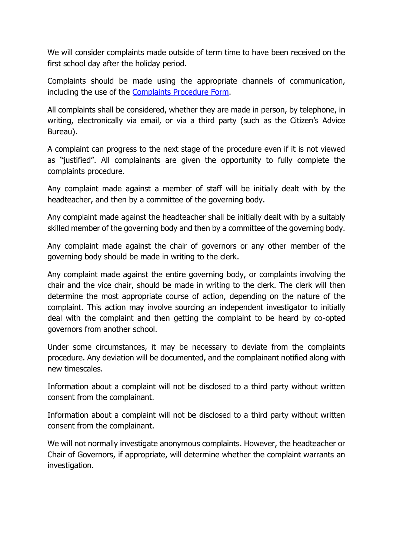We will consider complaints made outside of term time to have been received on the first school day after the holiday period.

Complaints should be made using the appropriate channels of communication, including the use of the [Complaints Procedure Form.](#page-27-0)

All complaints shall be considered, whether they are made in person, by telephone, in writing, electronically via email, or via a third party (such as the Citizen's Advice Bureau).

A complaint can progress to the next stage of the procedure even if it is not viewed as "justified". All complainants are given the opportunity to fully complete the complaints procedure.

Any complaint made against a member of staff will be initially dealt with by the headteacher, and then by a committee of the governing body.

Any complaint made against the headteacher shall be initially dealt with by a suitably skilled member of the governing body and then by a committee of the governing body.

Any complaint made against the chair of governors or any other member of the governing body should be made in writing to the clerk.

Any complaint made against the entire governing body, or complaints involving the chair and the vice chair, should be made in writing to the clerk. The clerk will then determine the most appropriate course of action, depending on the nature of the complaint. This action may involve sourcing an independent investigator to initially deal with the complaint and then getting the complaint to be heard by co-opted governors from another school.

Under some circumstances, it may be necessary to deviate from the complaints procedure. Any deviation will be documented, and the complainant notified along with new timescales.

Information about a complaint will not be disclosed to a third party without written consent from the complainant.

Information about a complaint will not be disclosed to a third party without written consent from the complainant.

We will not normally investigate anonymous complaints. However, the headteacher or Chair of Governors, if appropriate, will determine whether the complaint warrants an investigation.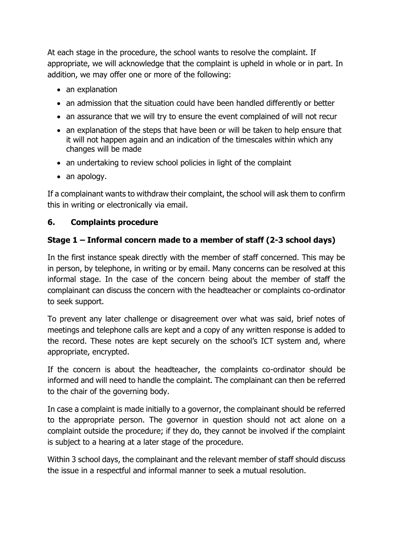At each stage in the procedure, the school wants to resolve the complaint. If appropriate, we will acknowledge that the complaint is upheld in whole or in part. In addition, we may offer one or more of the following:

- an explanation
- an admission that the situation could have been handled differently or better
- an assurance that we will try to ensure the event complained of will not recur
- an explanation of the steps that have been or will be taken to help ensure that it will not happen again and an indication of the timescales within which any changes will be made
- an undertaking to review school policies in light of the complaint
- an apology.

If a complainant wants to withdraw their complaint, the school will ask them to confirm this in writing or electronically via email.

# <span id="page-10-0"></span>**6. Complaints procedure**

## <span id="page-10-1"></span>**Stage 1 – Informal concern made to a member of staff (2-3 school days)**

In the first instance speak directly with the member of staff concerned. This may be in person, by telephone, in writing or by email. Many concerns can be resolved at this informal stage. In the case of the concern being about the member of staff the complainant can discuss the concern with the headteacher or complaints co-ordinator to seek support.

To prevent any later challenge or disagreement over what was said, brief notes of meetings and telephone calls are kept and a copy of any written response is added to the record. These notes are kept securely on the school's ICT system and, where appropriate, encrypted.

If the concern is about the headteacher, the complaints co-ordinator should be informed and will need to handle the complaint. The complainant can then be referred to the chair of the governing body.

In case a complaint is made initially to a governor, the complainant should be referred to the appropriate person. The governor in question should not act alone on a complaint outside the procedure; if they do, they cannot be involved if the complaint is subject to a hearing at a later stage of the procedure.

Within 3 school days, the complainant and the relevant member of staff should discuss the issue in a respectful and informal manner to seek a mutual resolution.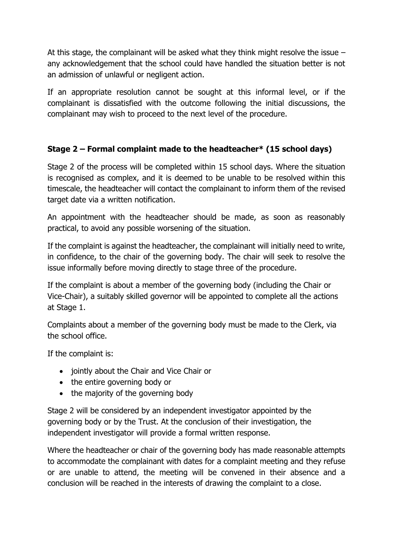At this stage, the complainant will be asked what they think might resolve the issue – any acknowledgement that the school could have handled the situation better is not an admission of unlawful or negligent action.

If an appropriate resolution cannot be sought at this informal level, or if the complainant is dissatisfied with the outcome following the initial discussions, the complainant may wish to proceed to the next level of the procedure.

## **Stage 2 – Formal complaint made to the headteacher\* (15 school days)**

Stage 2 of the process will be completed within 15 school days. Where the situation is recognised as complex, and it is deemed to be unable to be resolved within this timescale, the headteacher will contact the complainant to inform them of the revised target date via a written notification.

An appointment with the headteacher should be made, as soon as reasonably practical, to avoid any possible worsening of the situation.

If the complaint is against the headteacher, the complainant will initially need to write, in confidence, to the chair of the governing body. The chair will seek to resolve the issue informally before moving directly to stage three of the procedure.

If the complaint is about a member of the governing body (including the Chair or Vice-Chair), a suitably skilled governor will be appointed to complete all the actions at Stage 1.

Complaints about a member of the governing body must be made to the Clerk, via the school office.

If the complaint is:

- jointly about the Chair and Vice Chair or
- the entire governing body or
- the majority of the governing body

Stage 2 will be considered by an independent investigator appointed by the governing body or by the Trust. At the conclusion of their investigation, the independent investigator will provide a formal written response.

Where the headteacher or chair of the governing body has made reasonable attempts to accommodate the complainant with dates for a complaint meeting and they refuse or are unable to attend, the meeting will be convened in their absence and a conclusion will be reached in the interests of drawing the complaint to a close.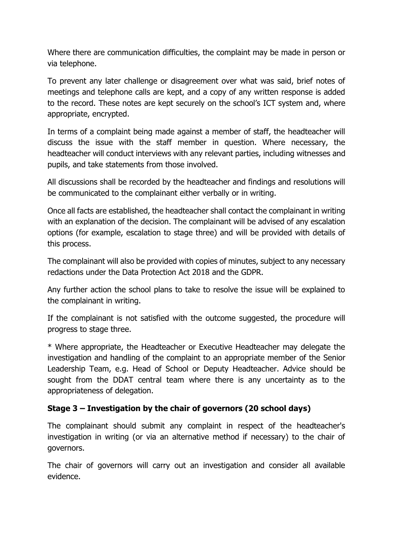Where there are communication difficulties, the complaint may be made in person or via telephone.

To prevent any later challenge or disagreement over what was said, brief notes of meetings and telephone calls are kept, and a copy of any written response is added to the record. These notes are kept securely on the school's ICT system and, where appropriate, encrypted.

In terms of a complaint being made against a member of staff, the headteacher will discuss the issue with the staff member in question. Where necessary, the headteacher will conduct interviews with any relevant parties, including witnesses and pupils, and take statements from those involved.

All discussions shall be recorded by the headteacher and findings and resolutions will be communicated to the complainant either verbally or in writing.

Once all facts are established, the headteacher shall contact the complainant in writing with an explanation of the decision. The complainant will be advised of any escalation options (for example, escalation to stage three) and will be provided with details of this process.

The complainant will also be provided with copies of minutes, subject to any necessary redactions under the Data Protection Act 2018 and the GDPR.

Any further action the school plans to take to resolve the issue will be explained to the complainant in writing.

If the complainant is not satisfied with the outcome suggested, the procedure will progress to stage three.

\* Where appropriate, the Headteacher or Executive Headteacher may delegate the investigation and handling of the complaint to an appropriate member of the Senior Leadership Team, e.g. Head of School or Deputy Headteacher. Advice should be sought from the DDAT central team where there is any uncertainty as to the appropriateness of delegation.

#### **Stage 3 – Investigation by the chair of governors (20 school days)**

The complainant should submit any complaint in respect of the headteacher's investigation in writing (or via an alternative method if necessary) to the chair of governors.

The chair of governors will carry out an investigation and consider all available evidence.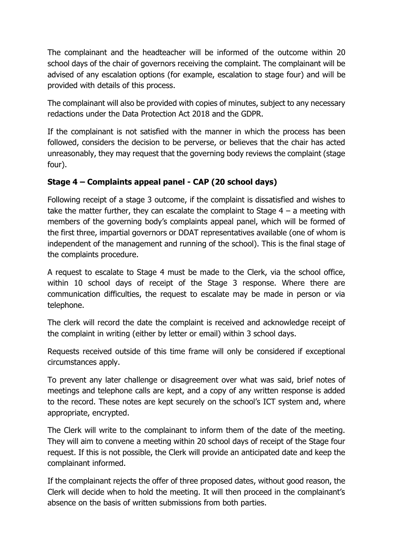The complainant and the headteacher will be informed of the outcome within 20 school days of the chair of governors receiving the complaint. The complainant will be advised of any escalation options (for example, escalation to stage four) and will be provided with details of this process.

The complainant will also be provided with copies of minutes, subject to any necessary redactions under the Data Protection Act 2018 and the GDPR.

If the complainant is not satisfied with the manner in which the process has been followed, considers the decision to be perverse, or believes that the chair has acted unreasonably, they may request that the governing body reviews the complaint (stage four).

# **Stage 4 – Complaints appeal panel - CAP (20 school days)**

Following receipt of a stage 3 outcome, if the complaint is dissatisfied and wishes to take the matter further, they can escalate the complaint to Stage  $4 - a$  meeting with members of the governing body's complaints appeal panel, which will be formed of the first three, impartial governors or DDAT representatives available (one of whom is independent of the management and running of the school). This is the final stage of the complaints procedure.

A request to escalate to Stage 4 must be made to the Clerk, via the school office, within 10 school days of receipt of the Stage 3 response. Where there are communication difficulties, the request to escalate may be made in person or via telephone.

The clerk will record the date the complaint is received and acknowledge receipt of the complaint in writing (either by letter or email) within 3 school days.

Requests received outside of this time frame will only be considered if exceptional circumstances apply.

To prevent any later challenge or disagreement over what was said, brief notes of meetings and telephone calls are kept, and a copy of any written response is added to the record. These notes are kept securely on the school's ICT system and, where appropriate, encrypted.

The Clerk will write to the complainant to inform them of the date of the meeting. They will aim to convene a meeting within 20 school days of receipt of the Stage four request. If this is not possible, the Clerk will provide an anticipated date and keep the complainant informed.

If the complainant rejects the offer of three proposed dates, without good reason, the Clerk will decide when to hold the meeting. It will then proceed in the complainant's absence on the basis of written submissions from both parties.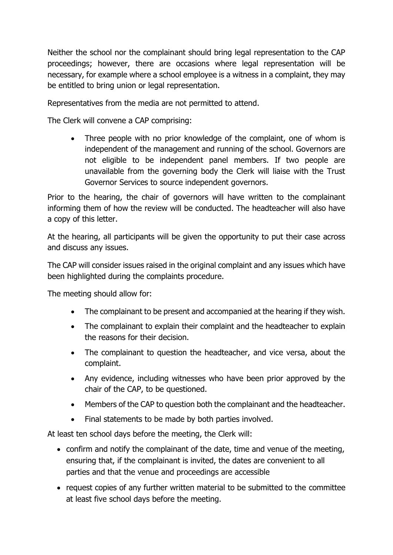Neither the school nor the complainant should bring legal representation to the CAP proceedings; however, there are occasions where legal representation will be necessary, for example where a school employee is a witness in a complaint, they may be entitled to bring union or legal representation.

Representatives from the media are not permitted to attend.

The Clerk will convene a CAP comprising:

• Three people with no prior knowledge of the complaint, one of whom is independent of the management and running of the school. Governors are not eligible to be independent panel members. If two people are unavailable from the governing body the Clerk will liaise with the Trust Governor Services to source independent governors.

Prior to the hearing, the chair of governors will have written to the complainant informing them of how the review will be conducted. The headteacher will also have a copy of this letter.

At the hearing, all participants will be given the opportunity to put their case across and discuss any issues.

The CAP will consider issues raised in the original complaint and any issues which have been highlighted during the complaints procedure.

The meeting should allow for:

- The complainant to be present and accompanied at the hearing if they wish.
- The complainant to explain their complaint and the headteacher to explain the reasons for their decision.
- The complainant to question the headteacher, and vice versa, about the complaint.
- Any evidence, including witnesses who have been prior approved by the chair of the CAP, to be questioned.
- Members of the CAP to question both the complainant and the headteacher.
- Final statements to be made by both parties involved.

At least ten school days before the meeting, the Clerk will:

- confirm and notify the complainant of the date, time and venue of the meeting, ensuring that, if the complainant is invited, the dates are convenient to all parties and that the venue and proceedings are accessible
- request copies of any further written material to be submitted to the committee at least five school days before the meeting.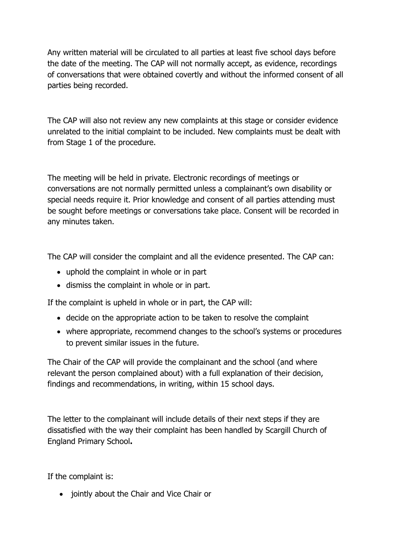Any written material will be circulated to all parties at least five school days before the date of the meeting. The CAP will not normally accept, as evidence, recordings of conversations that were obtained covertly and without the informed consent of all parties being recorded.

The CAP will also not review any new complaints at this stage or consider evidence unrelated to the initial complaint to be included. New complaints must be dealt with from Stage 1 of the procedure.

The meeting will be held in private. Electronic recordings of meetings or conversations are not normally permitted unless a complainant's own disability or special needs require it. Prior knowledge and consent of all parties attending must be sought before meetings or conversations take place. Consent will be recorded in any minutes taken.

The CAP will consider the complaint and all the evidence presented. The CAP can:

- uphold the complaint in whole or in part
- dismiss the complaint in whole or in part.

If the complaint is upheld in whole or in part, the CAP will:

- decide on the appropriate action to be taken to resolve the complaint
- where appropriate, recommend changes to the school's systems or procedures to prevent similar issues in the future.

The Chair of the CAP will provide the complainant and the school (and where relevant the person complained about) with a full explanation of their decision, findings and recommendations, in writing, within 15 school days.

The letter to the complainant will include details of their next steps if they are dissatisfied with the way their complaint has been handled by Scargill Church of England Primary School**.**

If the complaint is:

• jointly about the Chair and Vice Chair or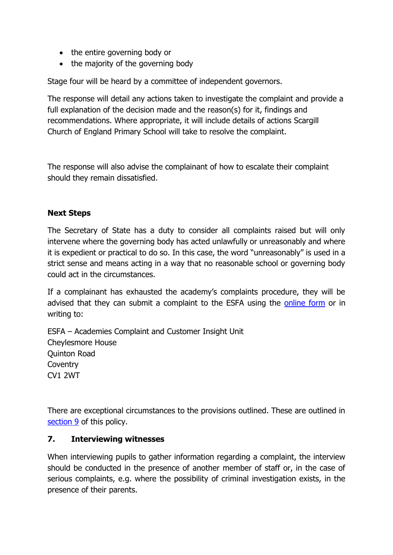- the entire governing body or
- the majority of the governing body

Stage four will be heard by a committee of independent governors.

The response will detail any actions taken to investigate the complaint and provide a full explanation of the decision made and the reason(s) for it, findings and recommendations. Where appropriate, it will include details of actions Scargill Church of England Primary School will take to resolve the complaint.

The response will also advise the complainant of how to escalate their complaint should they remain dissatisfied.

#### **Next Steps**

The Secretary of State has a duty to consider all complaints raised but will only intervene where the governing body has acted unlawfully or unreasonably and where it is expedient or practical to do so. In this case, the word "unreasonably" is used in a strict sense and means acting in a way that no reasonable school or governing body could act in the circumstances.

If a complainant has exhausted the academy's complaints procedure, they will be advised that they can submit a complaint to the ESFA using the [online form](https://form.education.gov.uk/fillform.php?self=1&form_id=cCCNJ1xSfBE&type=form&ShowMsg=1&form_name=Contact+the+Department+for+Education&noRegister=false&ret=%2Fmodule%2Fservices&noLoginPrompt=1) or in writing to:

ESFA – Academies Complaint and Customer Insight Unit Cheylesmore House Quinton Road Coventry CV1 2WT

There are exceptional circumstances to the provisions outlined. These are outlined in [section 9](#page-20-0) of this policy.

#### **7. Interviewing witnesses**

When interviewing pupils to gather information regarding a complaint, the interview should be conducted in the presence of another member of staff or, in the case of serious complaints, e.g. where the possibility of criminal investigation exists, in the presence of their parents.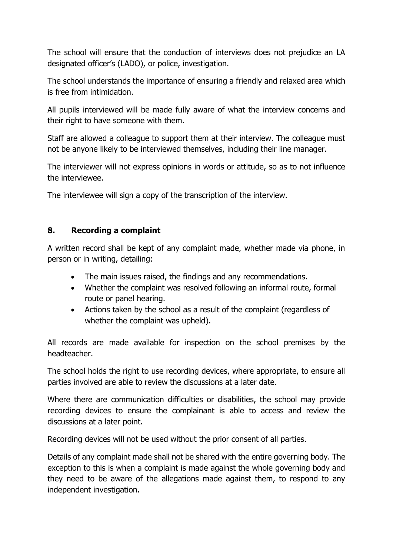The school will ensure that the conduction of interviews does not prejudice an LA designated officer's (LADO), or police, investigation.

The school understands the importance of ensuring a friendly and relaxed area which is free from intimidation.

All pupils interviewed will be made fully aware of what the interview concerns and their right to have someone with them.

Staff are allowed a colleague to support them at their interview. The colleague must not be anyone likely to be interviewed themselves, including their line manager.

The interviewer will not express opinions in words or attitude, so as to not influence the interviewee.

The interviewee will sign a copy of the transcription of the interview.

#### <span id="page-17-0"></span>**8. Recording a complaint**

A written record shall be kept of any complaint made, whether made via phone, in person or in writing, detailing:

- The main issues raised, the findings and any recommendations.
- Whether the complaint was resolved following an informal route, formal route or panel hearing.
- Actions taken by the school as a result of the complaint (regardless of whether the complaint was upheld).

All records are made available for inspection on the school premises by the headteacher.

The school holds the right to use recording devices, where appropriate, to ensure all parties involved are able to review the discussions at a later date.

Where there are communication difficulties or disabilities, the school may provide recording devices to ensure the complainant is able to access and review the discussions at a later point.

Recording devices will not be used without the prior consent of all parties.

Details of any complaint made shall not be shared with the entire governing body. The exception to this is when a complaint is made against the whole governing body and they need to be aware of the allegations made against them, to respond to any independent investigation.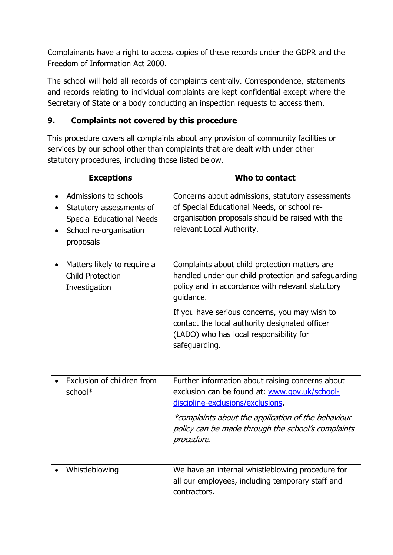Complainants have a right to access copies of these records under the GDPR and the Freedom of Information Act 2000.

The school will hold all records of complaints centrally. Correspondence, statements and records relating to individual complaints are kept confidential except where the Secretary of State or a body conducting an inspection requests to access them.

#### <span id="page-18-0"></span>**9. Complaints not covered by this procedure**

This procedure covers all complaints about any provision of community facilities or services by our school other than complaints that are dealt with under other statutory procedures, including those listed below.

|           | <b>Exceptions</b>                                                                                                            | Who to contact                                                                                                                                                                   |
|-----------|------------------------------------------------------------------------------------------------------------------------------|----------------------------------------------------------------------------------------------------------------------------------------------------------------------------------|
|           | Admissions to schools<br>Statutory assessments of<br><b>Special Educational Needs</b><br>School re-organisation<br>proposals | Concerns about admissions, statutory assessments<br>of Special Educational Needs, or school re-<br>organisation proposals should be raised with the<br>relevant Local Authority. |
| $\bullet$ | Matters likely to require a<br><b>Child Protection</b><br>Investigation                                                      | Complaints about child protection matters are<br>handled under our child protection and safeguarding<br>policy and in accordance with relevant statutory<br>quidance.            |
|           |                                                                                                                              | If you have serious concerns, you may wish to<br>contact the local authority designated officer<br>(LADO) who has local responsibility for<br>safeguarding.                      |
|           | Exclusion of children from<br>school*                                                                                        | Further information about raising concerns about<br>exclusion can be found at: www.gov.uk/school-<br>discipline-exclusions/exclusions.                                           |
|           |                                                                                                                              | *complaints about the application of the behaviour<br>policy can be made through the school's complaints<br>procedure.                                                           |
|           | Whistleblowing                                                                                                               | We have an internal whistleblowing procedure for<br>all our employees, including temporary staff and<br>contractors.                                                             |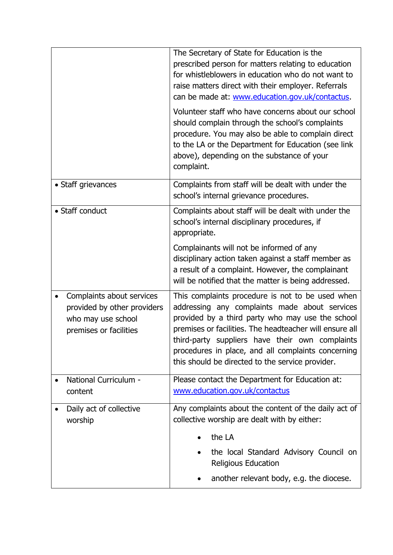|                                                                                                          | The Secretary of State for Education is the                                                                                                                                                                                                                                                                                                                                   |  |
|----------------------------------------------------------------------------------------------------------|-------------------------------------------------------------------------------------------------------------------------------------------------------------------------------------------------------------------------------------------------------------------------------------------------------------------------------------------------------------------------------|--|
|                                                                                                          | prescribed person for matters relating to education<br>for whistleblowers in education who do not want to<br>raise matters direct with their employer. Referrals<br>can be made at: www.education.gov.uk/contactus.                                                                                                                                                           |  |
|                                                                                                          | Volunteer staff who have concerns about our school<br>should complain through the school's complaints<br>procedure. You may also be able to complain direct<br>to the LA or the Department for Education (see link<br>above), depending on the substance of your<br>complaint.                                                                                                |  |
| • Staff grievances                                                                                       | Complaints from staff will be dealt with under the<br>school's internal grievance procedures.                                                                                                                                                                                                                                                                                 |  |
| • Staff conduct                                                                                          | Complaints about staff will be dealt with under the<br>school's internal disciplinary procedures, if<br>appropriate.                                                                                                                                                                                                                                                          |  |
|                                                                                                          | Complainants will not be informed of any<br>disciplinary action taken against a staff member as<br>a result of a complaint. However, the complainant<br>will be notified that the matter is being addressed.                                                                                                                                                                  |  |
| Complaints about services<br>provided by other providers<br>who may use school<br>premises or facilities | This complaints procedure is not to be used when<br>addressing any complaints made about services<br>provided by a third party who may use the school<br>premises or facilities. The headteacher will ensure all<br>third-party suppliers have their own complaints<br>procedures in place, and all complaints concerning<br>this should be directed to the service provider. |  |
| National Curriculum -<br>content                                                                         | Please contact the Department for Education at:<br>www.education.gov.uk/contactus                                                                                                                                                                                                                                                                                             |  |
| Daily act of collective<br>worship                                                                       | Any complaints about the content of the daily act of<br>collective worship are dealt with by either:                                                                                                                                                                                                                                                                          |  |
|                                                                                                          | the LA                                                                                                                                                                                                                                                                                                                                                                        |  |
|                                                                                                          | the local Standard Advisory Council on<br><b>Religious Education</b>                                                                                                                                                                                                                                                                                                          |  |
|                                                                                                          | another relevant body, e.g. the diocese.                                                                                                                                                                                                                                                                                                                                      |  |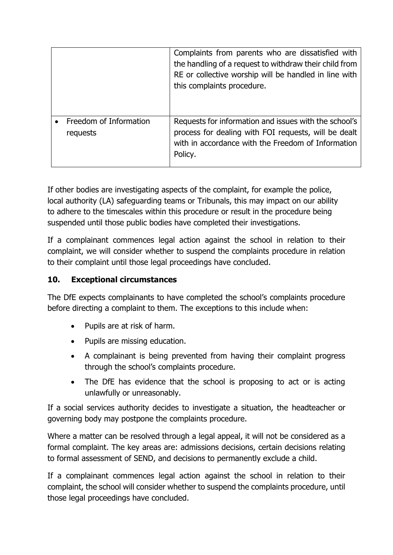|                                    | Complaints from parents who are dissatisfied with<br>the handling of a request to withdraw their child from<br>RE or collective worship will be handled in line with<br>this complaints procedure. |
|------------------------------------|----------------------------------------------------------------------------------------------------------------------------------------------------------------------------------------------------|
| Freedom of Information<br>requests | Requests for information and issues with the school's<br>process for dealing with FOI requests, will be dealt<br>with in accordance with the Freedom of Information<br>Policy.                     |

If other bodies are investigating aspects of the complaint, for example the police, local authority (LA) safeguarding teams or Tribunals, this may impact on our ability to adhere to the timescales within this procedure or result in the procedure being suspended until those public bodies have completed their investigations.

If a complainant commences legal action against the school in relation to their complaint, we will consider whether to suspend the complaints procedure in relation to their complaint until those legal proceedings have concluded.

#### <span id="page-20-0"></span>**10. Exceptional circumstances**

The DfE expects complainants to have completed the school's complaints procedure before directing a complaint to them. The exceptions to this include when:

- Pupils are at risk of harm.
- Pupils are missing education.
- A complainant is being prevented from having their complaint progress through the school's complaints procedure.
- The DfE has evidence that the school is proposing to act or is acting unlawfully or unreasonably.

If a social services authority decides to investigate a situation, the headteacher or governing body may postpone the complaints procedure.

Where a matter can be resolved through a legal appeal, it will not be considered as a formal complaint. The key areas are: admissions decisions, certain decisions relating to formal assessment of SEND, and decisions to permanently exclude a child.

If a complainant commences legal action against the school in relation to their complaint, the school will consider whether to suspend the complaints procedure, until those legal proceedings have concluded.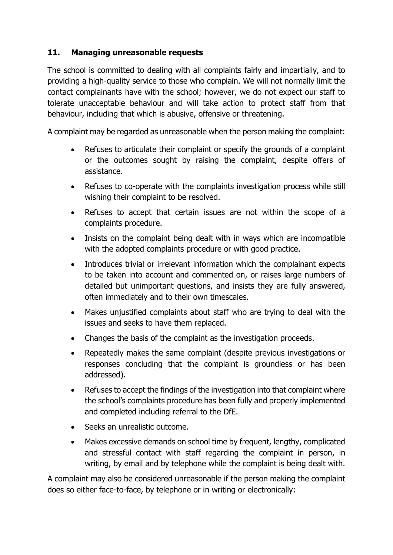#### <span id="page-21-0"></span>**11. Managing unreasonable requests**

The school is committed to dealing with all complaints fairly and impartially, and to providing a high-quality service to those who complain. We will not normally limit the contact complainants have with the school; however, we do not expect our staff to tolerate unacceptable behaviour and will take action to protect staff from that behaviour, including that which is abusive, offensive or threatening.

A complaint may be regarded as unreasonable when the person making the complaint:

- Refuses to articulate their complaint or specify the grounds of a complaint or the outcomes sought by raising the complaint, despite offers of assistance.
- Refuses to co-operate with the complaints investigation process while still wishing their complaint to be resolved.
- Refuses to accept that certain issues are not within the scope of a complaints procedure.
- Insists on the complaint being dealt with in ways which are incompatible with the adopted complaints procedure or with good practice.
- Introduces trivial or irrelevant information which the complainant expects to be taken into account and commented on, or raises large numbers of detailed but unimportant questions, and insists they are fully answered, often immediately and to their own timescales.
- Makes unjustified complaints about staff who are trying to deal with the issues and seeks to have them replaced.
- Changes the basis of the complaint as the investigation proceeds.
- Repeatedly makes the same complaint (despite previous investigations or responses concluding that the complaint is groundless or has been addressed).
- Refuses to accept the findings of the investigation into that complaint where the school's complaints procedure has been fully and properly implemented and completed including referral to the DfE.
- Seeks an unrealistic outcome.
- Makes excessive demands on school time by frequent, lengthy, complicated and stressful contact with staff regarding the complaint in person, in writing, by email and by telephone while the complaint is being dealt with.

A complaint may also be considered unreasonable if the person making the complaint does so either face-to-face, by telephone or in writing or electronically: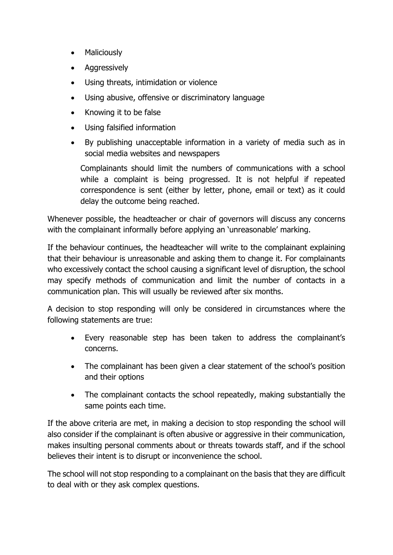- Maliciously
- **Aggressively**
- Using threats, intimidation or violence
- Using abusive, offensive or discriminatory language
- Knowing it to be false
- Using falsified information
- By publishing unacceptable information in a variety of media such as in social media websites and newspapers

Complainants should limit the numbers of communications with a school while a complaint is being progressed. It is not helpful if repeated correspondence is sent (either by letter, phone, email or text) as it could delay the outcome being reached.

Whenever possible, the headteacher or chair of governors will discuss any concerns with the complainant informally before applying an 'unreasonable' marking.

If the behaviour continues, the headteacher will write to the complainant explaining that their behaviour is unreasonable and asking them to change it. For complainants who excessively contact the school causing a significant level of disruption, the school may specify methods of communication and limit the number of contacts in a communication plan. This will usually be reviewed after six months.

A decision to stop responding will only be considered in circumstances where the following statements are true:

- Every reasonable step has been taken to address the complainant's concerns.
- The complainant has been given a clear statement of the school's position and their options
- The complainant contacts the school repeatedly, making substantially the same points each time.

If the above criteria are met, in making a decision to stop responding the school will also consider if the complainant is often abusive or aggressive in their communication, makes insulting personal comments about or threats towards staff, and if the school believes their intent is to disrupt or inconvenience the school.

The school will not stop responding to a complainant on the basis that they are difficult to deal with or they ask complex questions.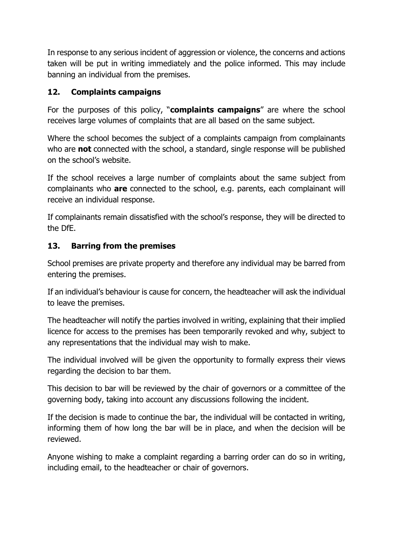In response to any serious incident of aggression or violence, the concerns and actions taken will be put in writing immediately and the police informed. This may include banning an individual from the premises.

## <span id="page-23-0"></span>**12. Complaints campaigns**

For the purposes of this policy, "**complaints campaigns**" are where the school receives large volumes of complaints that are all based on the same subject.

Where the school becomes the subject of a complaints campaign from complainants who are **not** connected with the school, a standard, single response will be published on the school's website.

If the school receives a large number of complaints about the same subject from complainants who **are** connected to the school, e.g. parents, each complainant will receive an individual response.

If complainants remain dissatisfied with the school's response, they will be directed to the DfE.

# <span id="page-23-1"></span>**13. Barring from the premises**

School premises are private property and therefore any individual may be barred from entering the premises.

If an individual's behaviour is cause for concern, the headteacher will ask the individual to leave the premises.

The headteacher will notify the parties involved in writing, explaining that their implied licence for access to the premises has been temporarily revoked and why, subject to any representations that the individual may wish to make.

The individual involved will be given the opportunity to formally express their views regarding the decision to bar them.

This decision to bar will be reviewed by the chair of governors or a committee of the governing body, taking into account any discussions following the incident.

If the decision is made to continue the bar, the individual will be contacted in writing, informing them of how long the bar will be in place, and when the decision will be reviewed.

Anyone wishing to make a complaint regarding a barring order can do so in writing, including email, to the headteacher or chair of governors.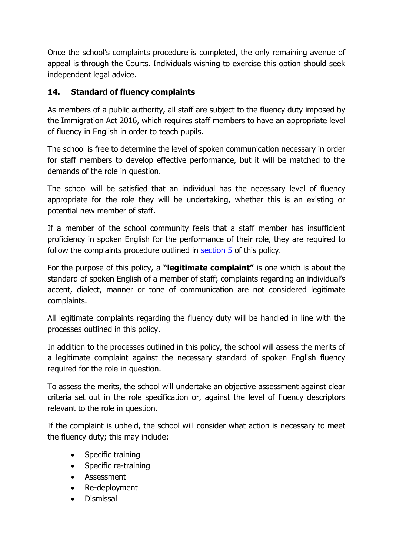Once the school's complaints procedure is completed, the only remaining avenue of appeal is through the Courts. Individuals wishing to exercise this option should seek independent legal advice.

# <span id="page-24-0"></span>**14. Standard of fluency complaints**

As members of a public authority, all staff are subject to the fluency duty imposed by the Immigration Act 2016, which requires staff members to have an appropriate level of fluency in English in order to teach pupils.

The school is free to determine the level of spoken communication necessary in order for staff members to develop effective performance, but it will be matched to the demands of the role in question.

The school will be satisfied that an individual has the necessary level of fluency appropriate for the role they will be undertaking, whether this is an existing or potential new member of staff.

If a member of the school community feels that a staff member has insufficient proficiency in spoken English for the performance of their role, they are required to follow the complaints procedure outlined in [section 5](#page-10-0) of this policy.

For the purpose of this policy, a **"legitimate complaint"** is one which is about the standard of spoken English of a member of staff; complaints regarding an individual's accent, dialect, manner or tone of communication are not considered legitimate complaints.

All legitimate complaints regarding the fluency duty will be handled in line with the processes outlined in this policy.

In addition to the processes outlined in this policy, the school will assess the merits of a legitimate complaint against the necessary standard of spoken English fluency required for the role in question.

To assess the merits, the school will undertake an objective assessment against clear criteria set out in the role specification or, against the level of fluency descriptors relevant to the role in question.

If the complaint is upheld, the school will consider what action is necessary to meet the fluency duty; this may include:

- Specific training
- Specific re-training
- Assessment
- Re-deployment
- Dismissal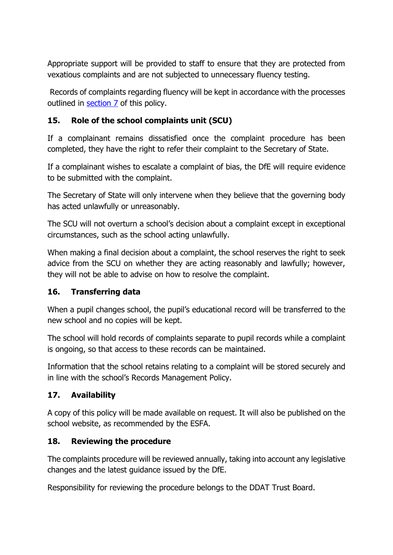Appropriate support will be provided to staff to ensure that they are protected from vexatious complaints and are not subjected to unnecessary fluency testing.

Records of complaints regarding fluency will be kept in accordance with the processes outlined in [section 7](#page-17-0) of this policy.

#### <span id="page-25-0"></span>**15. Role of the school complaints unit (SCU)**

If a complainant remains dissatisfied once the complaint procedure has been completed, they have the right to refer their complaint to the Secretary of State.

If a complainant wishes to escalate a complaint of bias, the DfE will require evidence to be submitted with the complaint.

The Secretary of State will only intervene when they believe that the governing body has acted unlawfully or unreasonably.

The SCU will not overturn a school's decision about a complaint except in exceptional circumstances, such as the school acting unlawfully.

When making a final decision about a complaint, the school reserves the right to seek advice from the SCU on whether they are acting reasonably and lawfully; however, they will not be able to advise on how to resolve the complaint.

#### <span id="page-25-1"></span>**16. Transferring data**

When a pupil changes school, the pupil's educational record will be transferred to the new school and no copies will be kept.

The school will hold records of complaints separate to pupil records while a complaint is ongoing, so that access to these records can be maintained.

Information that the school retains relating to a complaint will be stored securely and in line with the school's Records Management Policy.

#### <span id="page-25-2"></span>**17. Availability**

A copy of this policy will be made available on request. It will also be published on the school website, as recommended by the ESFA.

#### <span id="page-25-3"></span>**18. Reviewing the procedure**

The complaints procedure will be reviewed annually, taking into account any legislative changes and the latest guidance issued by the DfE.

Responsibility for reviewing the procedure belongs to the DDAT Trust Board.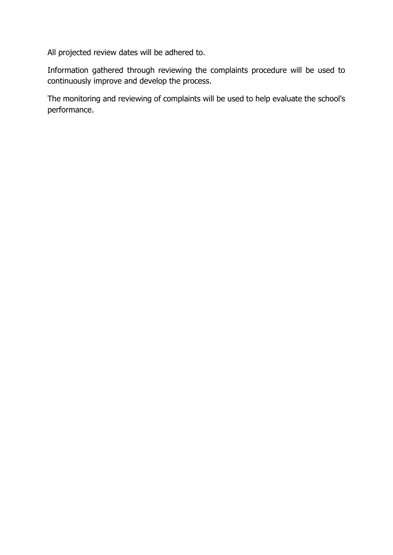All projected review dates will be adhered to.

Information gathered through reviewing the complaints procedure will be used to continuously improve and develop the process.

The monitoring and reviewing of complaints will be used to help evaluate the school's performance.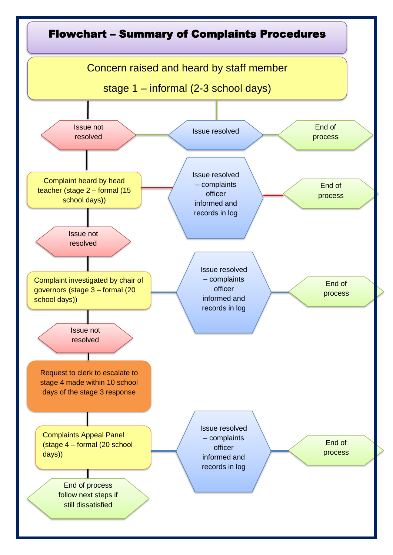<span id="page-27-0"></span>